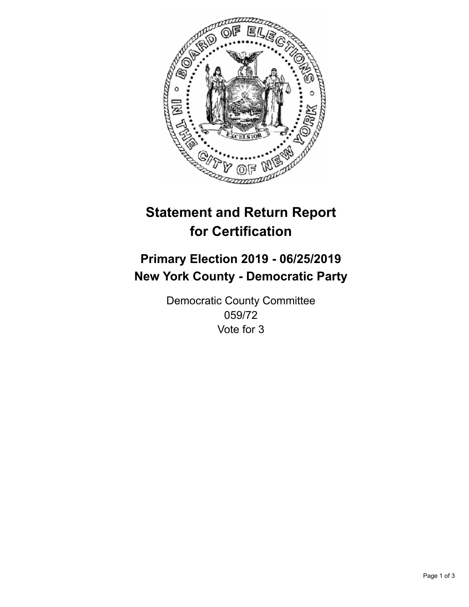

## **Statement and Return Report for Certification**

## **Primary Election 2019 - 06/25/2019 New York County - Democratic Party**

Democratic County Committee 059/72 Vote for 3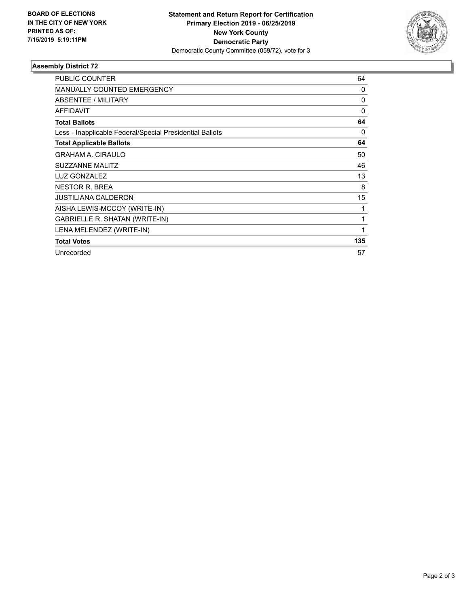

## **Assembly District 72**

| <b>PUBLIC COUNTER</b>                                    | 64       |
|----------------------------------------------------------|----------|
| <b>MANUALLY COUNTED EMERGENCY</b>                        | 0        |
| ABSENTEE / MILITARY                                      | 0        |
| <b>AFFIDAVIT</b>                                         | $\Omega$ |
| <b>Total Ballots</b>                                     | 64       |
| Less - Inapplicable Federal/Special Presidential Ballots | 0        |
| <b>Total Applicable Ballots</b>                          | 64       |
| <b>GRAHAM A. CIRAULO</b>                                 | 50       |
| <b>SUZZANNE MALITZ</b>                                   | 46       |
| LUZ GONZALEZ                                             | 13       |
| <b>NESTOR R. BREA</b>                                    | 8        |
| <b>JUSTILIANA CALDERON</b>                               | 15       |
| AISHA LEWIS-MCCOY (WRITE-IN)                             | 1        |
| GABRIELLE R. SHATAN (WRITE-IN)                           | 1        |
| LENA MELENDEZ (WRITE-IN)                                 | 1        |
| <b>Total Votes</b>                                       | 135      |
| Unrecorded                                               | 57       |